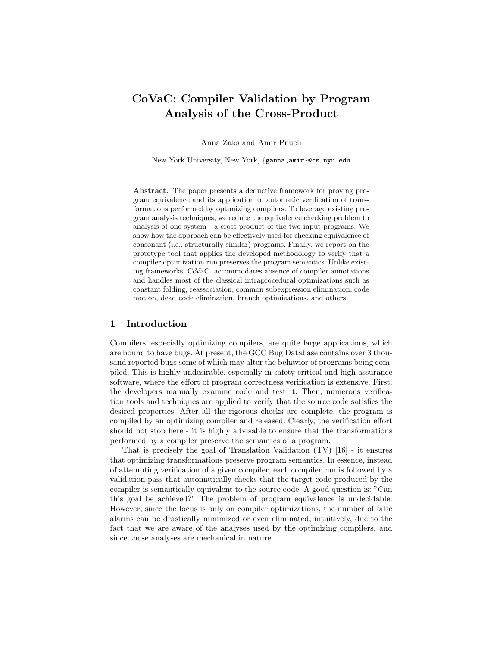# CoVaC: Compiler Validation by Program Analysis of the Cross-Product

Anna Zaks and Amir Pnueli

New York University, New York, {ganna,amir}@cs.nyu.edu

Abstract. The paper presents a deductive framework for proving program equivalence and its application to automatic verification of transformations performed by optimizing compilers. To leverage existing program analysis techniques, we reduce the equivalence checking problem to analysis of one system - a cross-product of the two input programs. We show how the approach can be effectively used for checking equivalence of consonant (i.e., structurally similar) programs. Finally, we report on the prototype tool that applies the developed methodology to verify that a compiler optimization run preserves the program semantics. Unlike existing frameworks, CoVaC accommodates absence of compiler annotations and handles most of the classical intraprocedural optimizations such as constant folding, reassociation, common subexpression elimination, code motion, dead code elimination, branch optimizations, and others.

# 1 Introduction

Compilers, especially optimizing compilers, are quite large applications, which are bound to have bugs. At present, the GCC Bug Database contains over 3 thousand reported bugs some of which may alter the behavior of programs being compiled. This is highly undesirable, especially in safety critical and high-assurance software, where the effort of program correctness verification is extensive. First, the developers manually examine code and test it. Then, numerous verification tools and techniques are applied to verify that the source code satisfies the desired properties. After all the rigorous checks are complete, the program is compiled by an optimizing compiler and released. Clearly, the verification effort should not stop here - it is highly advisable to ensure that the transformations performed by a compiler preserve the semantics of a program.

That is precisely the goal of Translation Validation (TV) [16] - it ensures that optimizing transformations preserve program semantics. In essence, instead of attempting verification of a given compiler, each compiler run is followed by a validation pass that automatically checks that the target code produced by the compiler is semantically equivalent to the source code. A good question is: "Can this goal be achieved?" The problem of program equivalence is undecidable. However, since the focus is only on compiler optimizations, the number of false alarms can be drastically minimized or even eliminated, intuitively, due to the fact that we are aware of the analyses used by the optimizing compilers, and since those analyses are mechanical in nature.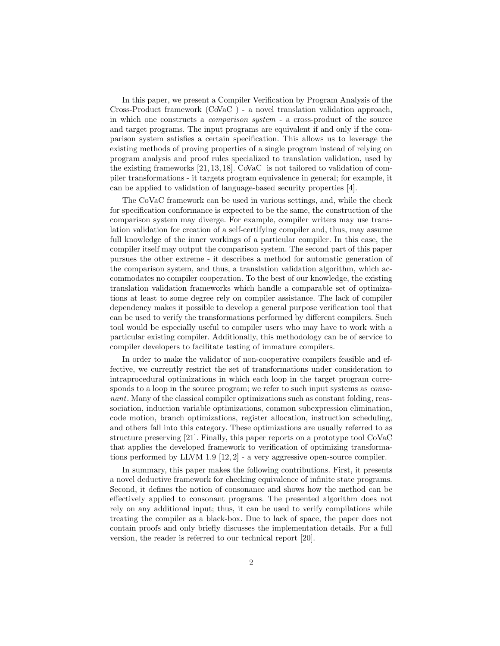In this paper, we present a Compiler Verification by Program Analysis of the Cross-Product framework (CoVaC ) - a novel translation validation approach, in which one constructs a comparison system - a cross-product of the source and target programs. The input programs are equivalent if and only if the comparison system satisfies a certain specification. This allows us to leverage the existing methods of proving properties of a single program instead of relying on program analysis and proof rules specialized to translation validation, used by the existing frameworks [21, 13, 18]. CoVaC is not tailored to validation of compiler transformations - it targets program equivalence in general; for example, it can be applied to validation of language-based security properties [4].

The CoVaC framework can be used in various settings, and, while the check for specification conformance is expected to be the same, the construction of the comparison system may diverge. For example, compiler writers may use translation validation for creation of a self-certifying compiler and, thus, may assume full knowledge of the inner workings of a particular compiler. In this case, the compiler itself may output the comparison system. The second part of this paper pursues the other extreme - it describes a method for automatic generation of the comparison system, and thus, a translation validation algorithm, which accommodates no compiler cooperation. To the best of our knowledge, the existing translation validation frameworks which handle a comparable set of optimizations at least to some degree rely on compiler assistance. The lack of compiler dependency makes it possible to develop a general purpose verification tool that can be used to verify the transformations performed by different compilers. Such tool would be especially useful to compiler users who may have to work with a particular existing compiler. Additionally, this methodology can be of service to compiler developers to facilitate testing of immature compilers.

In order to make the validator of non-cooperative compilers feasible and effective, we currently restrict the set of transformations under consideration to intraprocedural optimizations in which each loop in the target program corresponds to a loop in the source program; we refer to such input systems as *conso*nant. Many of the classical compiler optimizations such as constant folding, reassociation, induction variable optimizations, common subexpression elimination, code motion, branch optimizations, register allocation, instruction scheduling, and others fall into this category. These optimizations are usually referred to as structure preserving [21]. Finally, this paper reports on a prototype tool CoVaC that applies the developed framework to verification of optimizing transformations performed by LLVM 1.9 [12, 2] - a very aggressive open-source compiler.

In summary, this paper makes the following contributions. First, it presents a novel deductive framework for checking equivalence of infinite state programs. Second, it defines the notion of consonance and shows how the method can be effectively applied to consonant programs. The presented algorithm does not rely on any additional input; thus, it can be used to verify compilations while treating the compiler as a black-box. Due to lack of space, the paper does not contain proofs and only briefly discusses the implementation details. For a full version, the reader is referred to our technical report [20].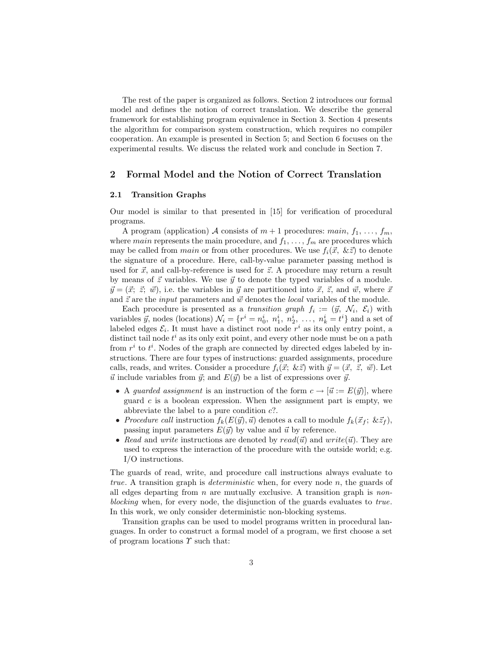The rest of the paper is organized as follows. Section 2 introduces our formal model and defines the notion of correct translation. We describe the general framework for establishing program equivalence in Section 3. Section 4 presents the algorithm for comparison system construction, which requires no compiler cooperation. An example is presented in Section 5; and Section 6 focuses on the experimental results. We discuss the related work and conclude in Section 7.

# 2 Formal Model and the Notion of Correct Translation

#### 2.1 Transition Graphs

Our model is similar to that presented in [15] for verification of procedural programs.

A program (application) A consists of  $m+1$  procedures: main,  $f_1, \ldots, f_m$ , where *main* represents the main procedure, and  $f_1, \ldots, f_m$  are procedures which may be called from main or from other procedures. We use  $f_i(\vec{x}, \& \vec{z})$  to denote the signature of a procedure. Here, call-by-value parameter passing method is used for  $\vec{x}$ , and call-by-reference is used for  $\vec{z}$ . A procedure may return a result by means of  $\vec{z}$  variables. We use  $\vec{y}$  to denote the typed variables of a module.  $\vec{y} = (\vec{x}; \vec{z}; \vec{w})$ , i.e. the variables in  $\vec{y}$  are partitioned into  $\vec{x}, \vec{z}$ , and  $\vec{w}$ , where  $\vec{x}$ and  $\vec{z}$  are the *input* parameters and  $\vec{w}$  denotes the *local* variables of the module.

Each procedure is presented as a transition graph  $f_i := (\vec{y}, \mathcal{N}_i, \mathcal{E}_i)$  with variables  $\vec{y}$ , nodes (locations)  $\mathcal{N}_i = \{r^i = n_0^i, n_1^i, n_2^i, \ldots, n_k^i = t^i\}$  and a set of labeled edges  $\mathcal{E}_i$ . It must have a distinct root node  $r^i$  as its only entry point, a distinct tail node  $t^i$  as its only exit point, and every other node must be on a path from  $r^i$  to  $t^i$ . Nodes of the graph are connected by directed edges labeled by instructions. There are four types of instructions: guarded assignments, procedure calls, reads, and writes. Consider a procedure  $f_i(\vec{x}; \& \vec{z})$  with  $\vec{y} = (\vec{x}, \vec{z}, \vec{w})$ . Let  $\vec{u}$  include variables from  $\vec{y}$ ; and  $E(\vec{y})$  be a list of expressions over  $\vec{y}$ .

- A *guarded assignment* is an instruction of the form  $c \to [\vec{u} := E(\vec{y})]$ , where guard  $c$  is a boolean expression. When the assignment part is empty, we abbreviate the label to a pure condition  $c$ ?.
- Procedure call instruction  $f_k(E(\vec{y}), \vec{u})$  denotes a call to module  $f_k(\vec{x}_f; \&\vec{z}_f)$ , passing input parameters  $E(\vec{y})$  by value and  $\vec{u}$  by reference.
- Read and write instructions are denoted by  $read(\vec{u})$  and  $write(\vec{u})$ . They are used to express the interaction of the procedure with the outside world; e.g. I/O instructions.

The guards of read, write, and procedure call instructions always evaluate to true. A transition graph is *deterministic* when, for every node n, the guards of all edges departing from  $n$  are mutually exclusive. A transition graph is *non*blocking when, for every node, the disjunction of the guards evaluates to true. In this work, we only consider deterministic non-blocking systems.

Transition graphs can be used to model programs written in procedural languages. In order to construct a formal model of a program, we first choose a set of program locations  $\gamma$  such that: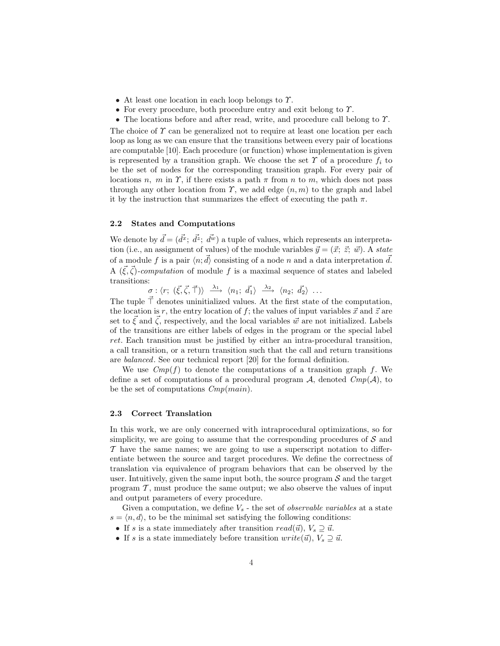- At least one location in each loop belongs to  $\Upsilon$ .
- For every procedure, both procedure entry and exit belong to  $\Upsilon$ .

• The locations before and after read, write, and procedure call belong to  $\Upsilon$ . The choice of  $\Upsilon$  can be generalized not to require at least one location per each loop as long as we can ensure that the transitions between every pair of locations are computable [10]. Each procedure (or function) whose implementation is given is represented by a transition graph. We choose the set  $\Upsilon$  of a procedure  $f_i$  to be the set of nodes for the corresponding transition graph. For every pair of locations n, m in  $\gamma$ , if there exists a path  $\pi$  from n to m, which does not pass through any other location from  $\gamma$ , we add edge  $(n, m)$  to the graph and label it by the instruction that summarizes the effect of executing the path  $\pi$ .

#### 2.2 States and Computations

We denote by  $\vec{d} = (\vec{d}^x; \vec{d}^z; \vec{d}^w)$  a tuple of values, which represents an interpretation (i.e., an assignment of values) of the module variables  $\vec{y} = (\vec{x}; \vec{z}; \vec{w})$ . A state of a module f is a pair  $\langle n; \vec{d} \rangle$  consisting of a node n and a data interpretation  $\vec{d}$ . A  $(\xi, \bar{\zeta})$ -computation of module f is a maximal sequence of states and labeled transitions:

 $\sigma : \langle r;~(\vec{\xi},\vec{\zeta},\vec{\top})\rangle \ \stackrel{\lambda_1}{\longrightarrow} \ \langle n_1;~\vec{d_1}\rangle \ \stackrel{\lambda_2}{\longrightarrow} \ \langle n_2;~\vec{d_2}\rangle \ \dots$ 

The tuple  $\vec{\top}$  denotes uninitialized values. At the first state of the computation, the location is r, the entry location of f; the values of input variables  $\vec{x}$  and  $\vec{z}$  are set to  $\xi$  and  $\zeta$ , respectively, and the local variables  $\vec{w}$  are not initialized. Labels of the transitions are either labels of edges in the program or the special label ret. Each transition must be justified by either an intra-procedural transition, a call transition, or a return transition such that the call and return transitions are balanced. See our technical report [20] for the formal definition.

We use  $Cmp(f)$  to denote the computations of a transition graph f. We define a set of computations of a procedural program  $A$ , denoted  $Cmp(A)$ , to be the set of computations  $Cmp(main)$ .

#### 2.3 Correct Translation

In this work, we are only concerned with intraprocedural optimizations, so for simplicity, we are going to assume that the corresponding procedures of  $S$  and T have the same names; we are going to use a superscript notation to differentiate between the source and target procedures. We define the correctness of translation via equivalence of program behaviors that can be observed by the user. Intuitively, given the same input both, the source program  $S$  and the target program  $\mathcal T$ , must produce the same output; we also observe the values of input and output parameters of every procedure.

Given a computation, we define  $V_s$  - the set of *observable variables* at a state  $s = \langle n, d \rangle$ , to be the minimal set satisfying the following conditions:

- If s is a state immediately after transition  $read(\vec{u}), V_s \supseteq \vec{u}$ .
- If s is a state immediately before transition  $write(\vec{u}), V_s \supseteq \vec{u}$ .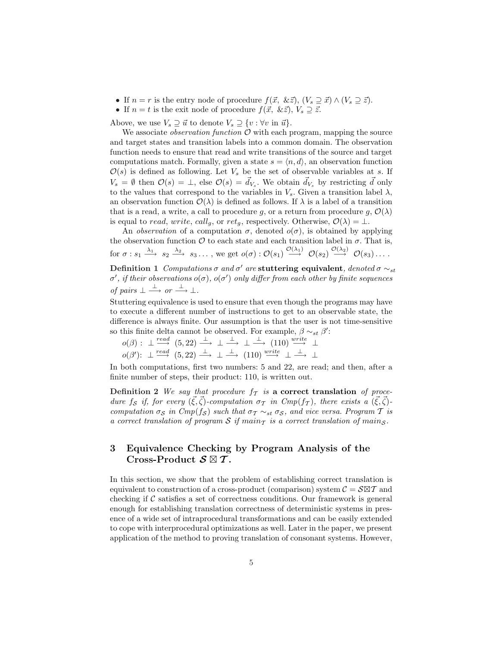- If  $n = r$  is the entry node of procedure  $f(\vec{x}, \& \vec{z}), (V_s \supseteq \vec{x}) \wedge (V_s \supseteq \vec{z}).$
- If  $n = t$  is the exit node of procedure  $f(\vec{x}, \& \vec{z})$ ,  $V_s \supseteq \vec{z}$ .

Above, we use  $V_s \supseteq \vec{u}$  to denote  $V_s \supseteq \{v : \forall v \text{ in } \vec{u}\}.$ 

We associate *observation function*  $O$  with each program, mapping the source and target states and transition labels into a common domain. The observation function needs to ensure that read and write transitions of the source and target computations match. Formally, given a state  $s = \langle n, d \rangle$ , an observation function  $\mathcal{O}(s)$  is defined as following. Let  $V_s$  be the set of observable variables at s. If  $V_s = \emptyset$  then  $\mathcal{O}(s) = \bot$ , else  $\mathcal{O}(s) = \vec{d}_{V_s}$ . We obtain  $\vec{d}_{V_s}$  by restricting  $\vec{d}$  only to the values that correspond to the variables in  $V_s$ . Given a transition label  $\lambda$ , an observation function  $\mathcal{O}(\lambda)$  is defined as follows. If  $\lambda$  is a label of a transition that is a read, a write, a call to procedure g, or a return from procedure g,  $\mathcal{O}(\lambda)$ is equal to read, write, call<sub>g</sub>, or ret<sub>g</sub>, respectively. Otherwise,  $\mathcal{O}(\lambda) = \bot$ .

An *observation* of a computation  $\sigma$ , denoted  $o(\sigma)$ , is obtained by applying the observation function  $\mathcal O$  to each state and each transition label in  $\sigma$ . That is, for  $\sigma : s_1 \stackrel{\lambda_1}{\longrightarrow} s_2 \stackrel{\lambda_2}{\longrightarrow} s_3 \ldots$ , we get  $o(\sigma) : \mathcal{O}(s_1) \stackrel{\mathcal{O}(\lambda_1)}{\longrightarrow} \mathcal{O}(s_2) \stackrel{\mathcal{O}(\lambda_2)}{\longrightarrow} \mathcal{O}(s_3) \ldots$ .

Definition 1 Computations  $\sigma$  and  $\sigma'$  are stuttering equivalent, denoted  $\sigma \sim_{st}$ σ', if their observations  $o(σ)$ ,  $o(σ')$  only differ from each other by finite sequences of pairs  $\perp \stackrel{\perp}{\longrightarrow}$  or  $\stackrel{\perp}{\longrightarrow} \perp$ .

Stuttering equivalence is used to ensure that even though the programs may have to execute a different number of instructions to get to an observable state, the difference is always finite. Our assumption is that the user is not time-sensitive so this finite delta cannot be observed. For example,  $\beta \sim_{st} \beta'$ :

 $o(\beta): \perp \stackrel{read}{\longrightarrow} (5, 22) \stackrel{\perp}{\longrightarrow} \perp \stackrel{\perp}{\longrightarrow} \perp \stackrel{\perp}{\longrightarrow} (110) \stackrel{write}{\longrightarrow} \perp$  $o(\beta')$ :  $\perp \stackrel{read}{\longrightarrow}$   $(5, 22) \stackrel{\perp}{\longrightarrow} \perp \stackrel{\perp}{\longrightarrow}$   $(110) \stackrel{write}{\longrightarrow} \perp \stackrel{\perp}{\longrightarrow} \perp$ 

In both computations, first two numbers: 5 and 22, are read; and then, after a finite number of steps, their product: 110, is written out.

Definition 2 We say that procedure  $f<sub>T</sub>$  is a correct translation of procedure  $f_{\mathcal{S}}$  if, for every  $(\vec{\xi}, \vec{\zeta})$ -computation  $\sigma_{\mathcal{T}}$  in  $Cmp(f_{\mathcal{T}})$ , there exists a  $(\vec{\xi}, \vec{\zeta})$ computation  $\sigma_{\mathcal{S}}$  in  $Cmp(f_{\mathcal{S}})$  such that  $\sigma_{\mathcal{T}} \sim_{st} \sigma_{\mathcal{S}}$ , and vice versa. Program  $\mathcal{T}$  is a correct translation of program S if main $\tau$  is a correct translation of mains.

# 3 Equivalence Checking by Program Analysis of the Cross-Product  $\mathcal{S} \boxtimes \mathcal{T}$ .

In this section, we show that the problem of establishing correct translation is equivalent to construction of a cross-product (comparison) system  $C = S \boxtimes T$  and checking if  $\mathcal C$  satisfies a set of correctness conditions. Our framework is general enough for establishing translation correctness of deterministic systems in presence of a wide set of intraprocedural transformations and can be easily extended to cope with interprocedural optimizations as well. Later in the paper, we present application of the method to proving translation of consonant systems. However,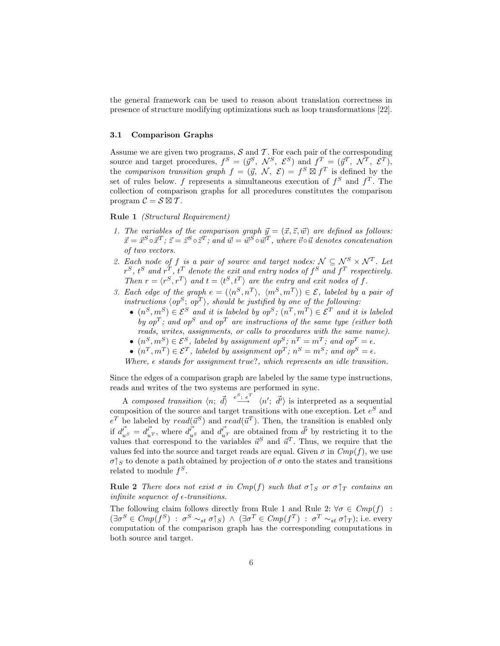the general framework can be used to reason about translation correctness in presence of structure modifying optimizations such as loop transformations [22].

#### 3.1 Comparison Graphs

Assume we are given two programs,  $S$  and  $T$ . For each pair of the corresponding source and target procedures,  $f^S = (\vec{y}^S, \mathcal{N}^S, \mathcal{E}^S)$  and  $f^T = (\vec{y}^T, \mathcal{N}^T, \mathcal{E}^T)$ , the comparison transition graph  $f = (\vec{y}, \mathcal{N}, \mathcal{E}) = f^S \boxtimes f^T$  is defined by the set of rules below. f represents a simultaneous execution of  $f^S$  and  $f^T$ . The collection of comparison graphs for all procedures constitutes the comparison program  $C = S \boxtimes T$ .

Rule 1 (Structural Requirement)

- 1. The variables of the comparison graph  $\vec{y} = (\vec{x}, \vec{z}, \vec{w})$  are defined as follows:  $\vec{x}=\vec{x}^S\!\circ\!\vec{x}^T;\,\vec{z}=\vec{z}^S\!\circ\!\vec{z}^T;\,and\,\vec{w}=\vec{w}^S\!\circ\!\vec{w}^T,\,where\,\vec{v}\!\circ\!\vec{u}\,\,denotes\,\,concatenation$ of two vectors.
- 2. Each node of f is a pair of source and target nodes:  $N \subseteq N^S \times N^T$ . Let  $r^S$ ,  $t^S$  and  $r^T$ ,  $t^T$  denote the exit and entry nodes of  $f^S$  and  $f^T$  respectively. Then  $r = \langle r^S, r^T \rangle$  and  $t = \langle t^S, t^T \rangle$  are the entry and exit nodes of f.
- 3. Each edge of the graph  $e = (\langle n^S, n^T \rangle, \langle m^S, m^T \rangle) \in \mathcal{E}$ , labeled by a pair of instructions  $\langle op^S; op^T \rangle$ , should be justified by one of the following:
	- $(n^S, m^S) \in \mathcal{E}^S$  and it is labeled by  $op^S$ ;  $(n^T, m^T) \in \mathcal{E}^T$  and it is labeled by  $op<sup>T</sup>$ ; and  $op<sup>S</sup>$  and  $op<sup>T</sup>$  are instructions of the same type (either both reads, writes, assignments, or calls to procedures with the same name).
	- $(n^S, m^S) \in \mathcal{E}^S$ , labeled by assignment  $op^S$ ;  $n^T = m^T$ ; and  $op^T = \epsilon$ .
	- $(n^T, m^T) \in \mathcal{E}^T$ , labeled by assignment op<sup>T</sup>;  $n^S = m^S$ ; and op<sup>S</sup> =  $\epsilon$ .

Where,  $\epsilon$  stands for assignment true?, which represents an idle transition.

Since the edges of a comparison graph are labeled by the same type instructions, reads and writes of the two systems are performed in sync.

A composed transition  $\langle n; \vec{d} \rangle \stackrel{e^S : e^T}{\longrightarrow} \langle n'; \vec{d'} \rangle$  is interpreted as a sequential composition of the source and target transitions with one exception. Let  $e^S$  and  $e^T$  be labeled by  $read(\vec{u}^S)$  and  $read(\vec{u}^T)$ . Then, the transition is enabled only if  $d_{u^S}^{\vec{l}} = d_{u^T}^{\vec{l}}$ , where  $d_{u^S}^{\vec{l}}$  and  $d_{u^T}^{\vec{l}}$  are obtained from  $\vec{d}$  by restricting it to the values that correspond to the variables  $\vec{u}^S$  and  $\vec{u}^T$ . Thus, we require that the values fed into the source and target reads are equal. Given  $\sigma$  in  $Cmp(f)$ , we use  $\sigma$ s to denote a path obtained by projection of  $\sigma$  onto the states and transitions related to module  $f^S$ .

**Rule 2** There does not exist  $\sigma$  in Cmp(f) such that  $\sigma \uparrow_S$  or  $\sigma \uparrow_T$  contains an infinite sequence of  $\epsilon$ -transitions.

The following claim follows directly from Rule 1 and Rule 2:  $\forall \sigma \in Cmp(f)$ :  $(\exists \sigma^S \in \text{Cmp}(f^S) : \sigma^S \sim_{st} \sigma \uparrow_S) \land (\exists \sigma^T \in \text{Cmp}(f^T) : \sigma^T \sim_{st} \sigma \uparrow_T);$  i.e. every computation of the comparison graph has the corresponding computations in both source and target.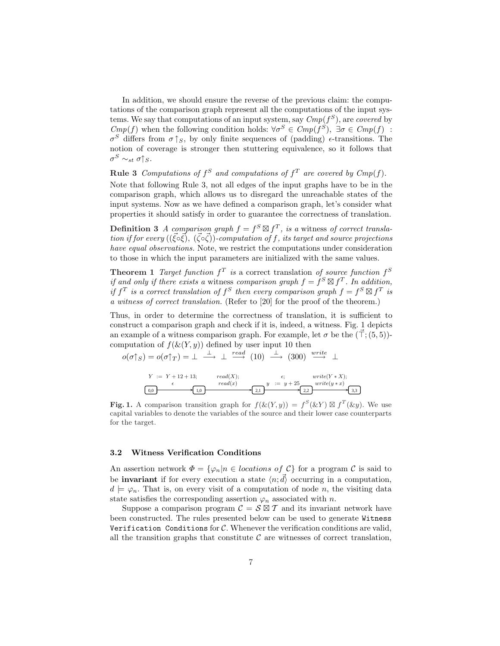In addition, we should ensure the reverse of the previous claim: the computations of the comparison graph represent all the computations of the input systems. We say that computations of an input system, say  $Cmp(f^S)$ , are covered by  $Cmp(f)$  when the following condition holds:  $\forall \sigma^S \in Cmp(f^S)$ ,  $\exists \sigma \in Cmp(f)$ :  $\sigma^S$  differs from  $\sigma \uparrow_S$ , by only finite sequences of (padding)  $\epsilon$ -transitions. The notion of coverage is stronger then stuttering equivalence, so it follows that  $\sigma^S \sim_{st} \sigma \uparrow_S$ .

**Rule 3** Computations of  $f^S$  and computations of  $f^T$  are covered by  $Cmp(f)$ . Note that following Rule 3, not all edges of the input graphs have to be in the comparison graph, which allows us to disregard the unreachable states of the input systems. Now as we have defined a comparison graph, let's consider what properties it should satisfy in order to guarantee the correctness of translation.

**Definition 3** A comparison graph  $f = f^S \boxtimes f^T$ , is a witness of correct translation if for every  $((\vec{\xi} \circ \vec{\xi}), (\vec{\zeta} \circ \vec{\zeta}))$ -computation of f, its target and source projections have equal observations. Note, we restrict the computations under consideration to those in which the input parameters are initialized with the same values.

**Theorem 1** Target function  $f^T$  is a correct translation of source function  $f^S$ if and only if there exists a witness comparison graph  $f = f^S \boxtimes f^T$ . In addition, if  $f^T$  is a correct translation of  $f^S$  then every comparison graph  $f = f^S \boxtimes f^T$  is a witness of correct translation. (Refer to [20] for the proof of the theorem.)

Thus, in order to determine the correctness of translation, it is sufficient to construct a comparison graph and check if it is, indeed, a witness. Fig. 1 depicts an example of a witness comparison graph. For example, let  $\sigma$  be the  $(\top; (5,5))$ computation of  $f(\&(Y, y))$  defined by user input 10 then

 $o(\sigma \uparrow_S) = o(\sigma \uparrow_T) = \bot \stackrel{\bot}{\longrightarrow} \bot \stackrel{read}{\longrightarrow} (10) \stackrel{\bot}{\longrightarrow} (300) \stackrel{write}{\longrightarrow} \bot$ 

| $Y := Y + 12 + 13$ ;     | read(X); |                               | $write(Y * X);$                    |
|--------------------------|----------|-------------------------------|------------------------------------|
| $\vert 0,0 \vert$<br>1,0 | read(x)  | $y := y + 25$<br>4.4<br>، ایک | $\equiv$ write(y $\ast x$ )<br>3,3 |

Fig. 1. A comparison transition graph for  $f$ ( $\&$ (Y, y)) =  $f^S$ ( $\&$ Y)  $\boxtimes$   $f^T$ ( $\&$ y). We use capital variables to denote the variables of the source and their lower case counterparts for the target.

#### 3.2 Witness Verification Conditions

An assertion network  $\Phi = {\varphi_n | n \in locations of \mathcal{C}}$  for a program  $\mathcal C$  is said to be **invariant** if for every execution a state  $\langle n, \vec{d} \rangle$  occurring in a computation,  $d \models \varphi_n$ . That is, on every visit of a computation of node n, the visiting data state satisfies the corresponding assertion  $\varphi_n$  associated with n.

Suppose a comparison program  $\mathcal{C} = \mathcal{S} \boxtimes \mathcal{T}$  and its invariant network have been constructed. The rules presented below can be used to generate Witness Verification Conditions for  $\mathcal C$ . Whenever the verification conditions are valid, all the transition graphs that constitute  $\mathcal C$  are witnesses of correct translation,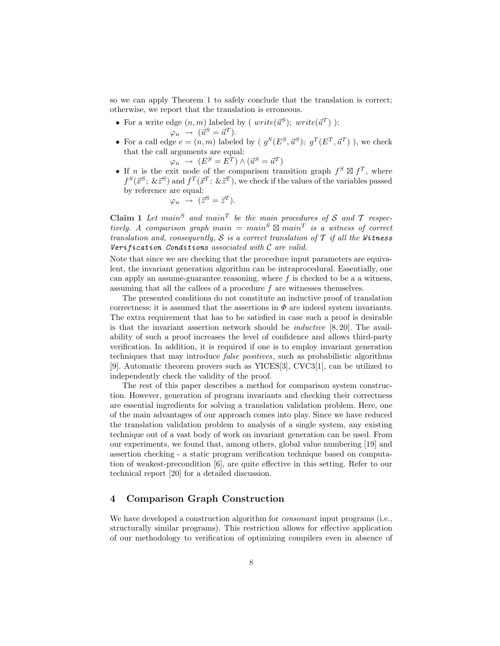so we can apply Theorem 1 to safely conclude that the translation is correct; otherwise, we report that the translation is erroneous.

- For a write edge  $(n, m)$  labeled by (  $write(\vec{u}^S)$ ;  $write(\vec{u}^T)$  ):  $\varphi_n \rightarrow (\vec{u}^S = \vec{u}^T).$
- For a call edge  $e = (n, m)$  labeled by  $(g^S(E^S, \vec{u}^S); g^T(E^T, \vec{u}^T))$ , we check that the call arguments are equal:

$$
\varphi_n \rightarrow (E^S = E^T) \wedge (\vec{u}^S = \vec{u}^T)
$$

• If *n* is the exit node of the comparison transition graph  $f^S \boxtimes f^T$ , where  $f^S(\vec{x}^S; \& \vec{z}^S)$  and  $f^T(\vec{x}^T; \& \vec{z}^T)$ , we check if the values of the variables passed by reference are equal:

$$
\varphi_n \ \to \ (\vec{z}^S = \vec{z}^T).
$$

Claim 1 Let main<sup>S</sup> and main<sup>T</sup> be the main procedures of S and T respectively. A comparison graph main =  $main^S \boxtimes main^T$  is a witness of correct translation and, consequently,  $S$  is a correct translation of  $T$  if all the Witness Verification Conditions associated with C are valid.

Note that since we are checking that the procedure input parameters are equivalent, the invariant generation algorithm can be intraprocedural. Essentially, one can apply an assume-guarantee reasoning, where  $f$  is checked to be a a witness, assuming that all the callees of a procedure f are witnesses themselves.

The presented conditions do not constitute an inductive proof of translation correctness: it is assumed that the assertions in  $\Phi$  are indeed system invariants. The extra requirement that has to be satisfied in case such a proof is desirable is that the invariant assertion network should be inductive [8, 20]. The availability of such a proof increases the level of confidence and allows third-party verification. In addition, it is required if one is to employ invariant generation techniques that may introduce false positives, such as probabilistic algorithms [9]. Automatic theorem provers such as YICES[3], CVC3[1], can be utilized to independently check the validity of the proof.

The rest of this paper describes a method for comparison system construction. However, generation of program invariants and checking their correctness are essential ingredients for solving a translation validation problem. Here, one of the main advantages of our approach comes into play. Since we have reduced the translation validation problem to analysis of a single system, any existing technique out of a vast body of work on invariant generation can be used. From our experiments, we found that, among others, global value numbering [19] and assertion checking - a static program verification technique based on computation of weakest-precondition [6], are quite effective in this setting. Refer to our technical report [20] for a detailed discussion.

#### 4 Comparison Graph Construction

We have developed a construction algorithm for *consonant* input programs (i.e., structurally similar programs). This restriction allows for effective application of our methodology to verification of optimizing compilers even in absence of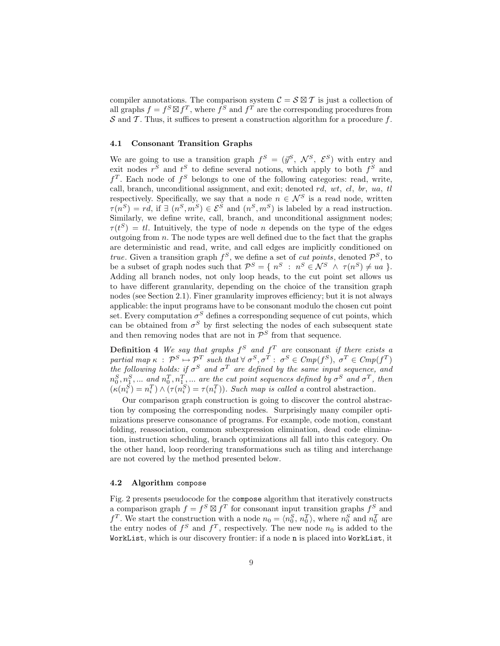compiler annotations. The comparison system  $C = S \boxtimes T$  is just a collection of all graphs  $f = f^S \boxtimes f^T$ , where  $f^S$  and  $f^T$  are the corresponding procedures from  $S$  and T. Thus, it suffices to present a construction algorithm for a procedure f.

#### 4.1 Consonant Transition Graphs

We are going to use a transition graph  $f^S = (\vec{y}^S, \mathcal{N}^S, \mathcal{E}^S)$  with entry and exit nodes  $r^S$  and  $t^S$  to define several notions, which apply to both  $f^S$  and  $f<sup>T</sup>$ . Each node of  $f<sup>S</sup>$  belongs to one of the following categories: read, write, call, branch, unconditional assignment, and exit; denoted  $rd$ ,  $wt$ ,  $cl$ ,  $br$ ,  $ua$ ,  $tl$ respectively. Specifically, we say that a node  $n \in \mathcal{N}^S$  is a read node, written  $\tau(n^S) = rd$ , if  $\exists (n^S, m^S) \in \mathcal{E}^S$  and  $(n^S, m^S)$  is labeled by a read instruction. Similarly, we define write, call, branch, and unconditional assignment nodes;  $\tau(t^S) = tl$ . Intuitively, the type of node *n* depends on the type of the edges outgoing from  $n$ . The node types are well defined due to the fact that the graphs are deterministic and read, write, and call edges are implicitly conditioned on true. Given a transition graph  $f^S$ , we define a set of *cut points*, denoted  $\mathcal{P}^S$ , to be a subset of graph nodes such that  $\mathcal{P}^S = \{ n^S : n^S \in \mathcal{N}^S \land \tau(n^S) \neq ua \}$ . Adding all branch nodes, not only loop heads, to the cut point set allows us to have different granularity, depending on the choice of the transition graph nodes (see Section 2.1). Finer granularity improves efficiency; but it is not always applicable: the input programs have to be consonant modulo the chosen cut point set. Every computation  $\sigma^S$  defines a corresponding sequence of cut points, which can be obtained from  $\sigma^S$  by first selecting the nodes of each subsequent state and then removing nodes that are not in  $\mathcal{P}^S$  from that sequence.

**Definition 4** We say that graphs  $f^S$  and  $f^T$  are consonant if there exists a partial map  $\kappa$ :  $\mathcal{P}^S \mapsto \mathcal{P}^T$  such that  $\forall \sigma^S, \sigma^T : \sigma^S \in Cmp(f^S), \sigma^T \in Cmp(f^T)$ the following holds: if  $\sigma^S$  and  $\sigma^T$  are defined by the same input sequence, and  $n_0^S, n_1^S, ...$  and  $n_0^T, n_1^T, ...$  are the cut point sequences defined by  $\sigma^S$  and  $\sigma^T$ , then  $(\kappa(n_i^S) = n_i^T) \wedge (\tau(n_i^S) = \tau(n_i^T))$ . Such map is called a control abstraction.

Our comparison graph construction is going to discover the control abstraction by composing the corresponding nodes. Surprisingly many compiler optimizations preserve consonance of programs. For example, code motion, constant folding, reassociation, common subexpression elimination, dead code elimination, instruction scheduling, branch optimizations all fall into this category. On the other hand, loop reordering transformations such as tiling and interchange are not covered by the method presented below.

#### 4.2 Algorithm compose

Fig. 2 presents pseudocode for the compose algorithm that iteratively constructs a comparison graph  $f = f^S \boxtimes f^T$  for consonant input transition graphs  $f^S$  and  $f^T$ . We start the construction with a node  $n_0 = \langle n_0^S, n_0^T \rangle$ , where  $n_0^S$  and  $n_0^T$  are the entry nodes of  $f^S$  and  $f^T$ , respectively. The new node  $n_0$  is added to the WorkList, which is our discovery frontier: if a node n is placed into WorkList, it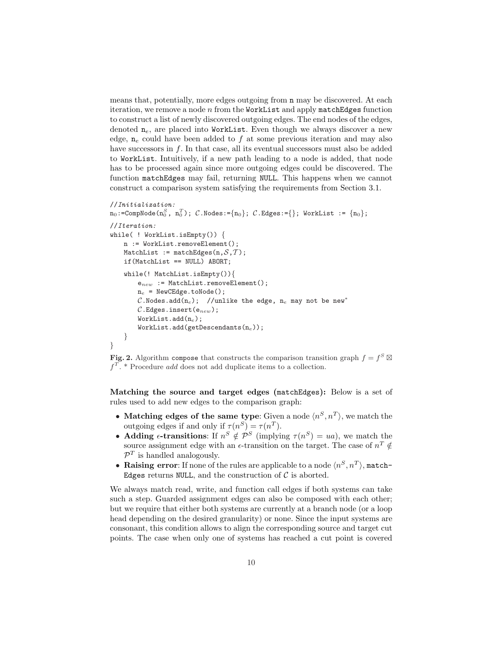means that, potentially, more edges outgoing from n may be discovered. At each iteration, we remove a node  $n$  from the WorkList and apply matchEdges function to construct a list of newly discovered outgoing edges. The end nodes of the edges, denoted  $n_e$ , are placed into WorkList. Even though we always discover a new edge,  $n_e$  could have been added to f at some previous iteration and may also have successors in f. In that case, all its eventual successors must also be added to WorkList. Intuitively, if a new path leading to a node is added, that node has to be processed again since more outgoing edges could be discovered. The function matchEdges may fail, returning NULL. This happens when we cannot construct a comparison system satisfying the requirements from Section 3.1.

```
//Initialization:
\mathtt{n}_0\colon \texttt{=CompNode(n^S_0, n^T_0)}; \ \mathcal{C}. \texttt{Nodes} \colon \texttt{=}\{\mathtt{n}_0\}; \ \mathcal{C}. \texttt{Edges} \colon \texttt{=}\left\{\}\;; \ \texttt{WorkList}\ := \ \{\mathtt{n}_0\};//Iteration:
while( ! WorkList.isEmpty()) {
     n := WorkList.removeElement();
     MatchList := matchEdges(n, S, T);
     if(MatchList == NULL) ABORT;
     while(! MatchList.isEmpty()){
          e_{new} := MatchList.removeElement();
          n_e = NewCEdge.toNode();
          \mathcal{C}.Nodes.add(n<sub>e</sub>); //unlike the edge, n<sub>e</sub> may not be new<sup>*</sup>
          C.Edges.insert(e_{new});WorkList.add(n_e);WorkList.add(getDescendants(n_e));}
}
```
**Fig. 2.** Algorithm compose that constructs the comparison transition graph  $f = f^S \boxtimes$  $f^T$ . \* Procedure *add* does not add duplicate items to a collection.

Matching the source and target edges (matchEdges): Below is a set of rules used to add new edges to the comparison graph:

- Matching edges of the same type: Given a node  $\langle n^S, n^T \rangle$ , we match the outgoing edges if and only if  $\tau(n^S) = \tau(n^T)$ .
- **Adding**  $\epsilon$ -transitions: If  $n^S \notin \mathcal{P}^S$  (implying  $\tau(n^S) = ua$ ), we match the source assignment edge with an  $\epsilon$ -transition on the target. The case of  $n^T \notin$  $\mathcal{P}^T$  is handled analogously.
- Raising error: If none of the rules are applicable to a node  $\langle n^S, n^T \rangle$ , match-Edges returns NULL, and the construction of  $\mathcal C$  is aborted.

We always match read, write, and function call edges if both systems can take such a step. Guarded assignment edges can also be composed with each other; but we require that either both systems are currently at a branch node (or a loop head depending on the desired granularity) or none. Since the input systems are consonant, this condition allows to align the corresponding source and target cut points. The case when only one of systems has reached a cut point is covered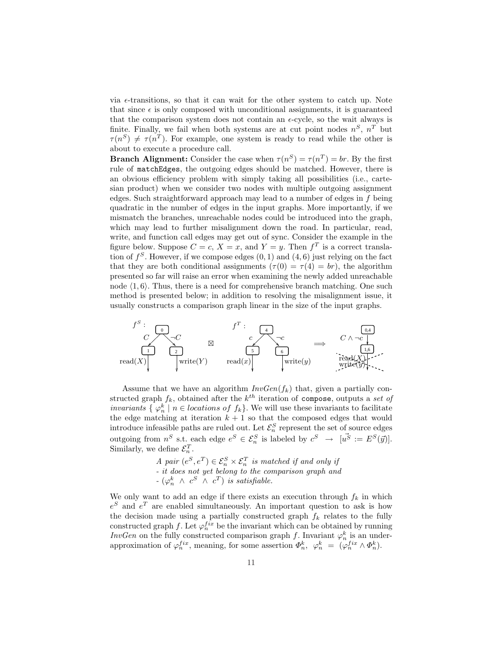via  $\epsilon$ -transitions, so that it can wait for the other system to catch up. Note that since  $\epsilon$  is only composed with unconditional assignments, it is guaranteed that the comparison system does not contain an  $\epsilon$ -cycle, so the wait always is finite. Finally, we fail when both systems are at cut point nodes  $n^S$ ,  $n^T$  but  $\tau(n^S) \neq \tau(n^T)$ . For example, one system is ready to read while the other is about to execute a procedure call.

**Branch Alignment:** Consider the case when  $\tau(n^S) = \tau(n^T) = br$ . By the first rule of matchEdges, the outgoing edges should be matched. However, there is an obvious efficiency problem with simply taking all possibilities (i.e., cartesian product) when we consider two nodes with multiple outgoing assignment edges. Such straightforward approach may lead to a number of edges in f being quadratic in the number of edges in the input graphs. More importantly, if we mismatch the branches, unreachable nodes could be introduced into the graph, which may lead to further misalignment down the road. In particular, read, write, and function call edges may get out of sync. Consider the example in the figure below. Suppose  $C = c$ ,  $X = x$ , and  $Y = y$ . Then  $f<sup>T</sup>$  is a correct translation of  $f^S$ . However, if we compose edges  $(0, 1)$  and  $(4, 6)$  just relying on the fact that they are both conditional assignments  $(\tau(0) = \tau(4) = br)$ , the algorithm presented so far will raise an error when examining the newly added unreachable node  $(1, 6)$ . Thus, there is a need for comprehensive branch matching. One such method is presented below; in addition to resolving the misalignment issue, it usually constructs a comparison graph linear in the size of the input graphs.



Assume that we have an algorithm  $InvGen(f_k)$  that, given a partially constructed graph  $f_k$ , obtained after the  $k^{th}$  iteration of compose, outputs a set of *invariants*  $\{\varphi_n^k \mid n \in locations \text{ of } f_k\}$ . We will use these invariants to facilitate the edge matching at iteration  $k + 1$  so that the composed edges that would introduce infeasible paths are ruled out. Let  $\mathcal{E}_n^S$  represent the set of source edges outgoing from  $n^S$  s.t. each edge  $e^S \in \mathcal{E}_n^S$  is labeled by  $c^S \rightarrow [u^S] = E^S(\vec{y})$ . Similarly, we define  $\mathcal{E}_n^T$ .

> A pair  $(e^S, e^T) \in \mathcal{E}_n^S \times \mathcal{E}_n^T$  is matched if and only if - it does not yet belong to the comparison graph and  $-(\varphi_n^k \wedge c^S \wedge c^T)$  is satisfiable.

We only want to add an edge if there exists an execution through  $f_k$  in which  $e^{S}$  and  $e^{T}$  are enabled simultaneously. An important question to ask is how the decision made using a partially constructed graph  $f_k$  relates to the fully constructed graph f. Let  $\varphi_n^{fix}$  be the invariant which can be obtained by running *InvGen* on the fully constructed comparison graph f. Invariant  $\varphi_n^k$  is an underapproximation of  $\varphi_n^{fix}$ , meaning, for some assertion  $\Phi_n^k$ ,  $\varphi_n^k = (\varphi_n^{fix} \wedge \Phi_n^k)$ .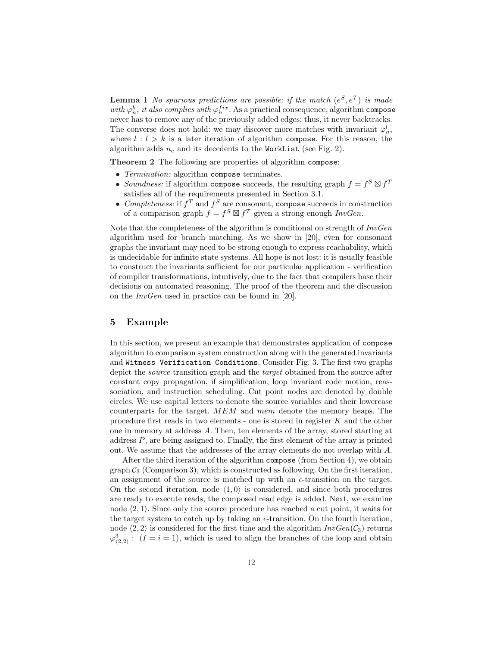**Lemma 1** No spurious predictions are possible: if the match  $(e^S, e^T)$  is made with  $\varphi_n^k$ , it also complies with  $\varphi_n^{fix}$ . As a practical consequence, algorithm compose never has to remove any of the previously added edges; thus, it never backtracks. The converse does not hold: we may discover more matches with invariant  $\varphi_n^l$ , where  $l : l > k$  is a later iteration of algorithm compose. For this reason, the algorithm adds  $n_e$  and its decedents to the WorkList (see Fig. 2).

Theorem 2 The following are properties of algorithm compose:

- Termination: algorithm compose terminates.
- Soundness: if algorithm compose succeeds, the resulting graph  $f = f^S \boxtimes f^T$ satisfies all of the requirements presented in Section 3.1.
- Completeness: if  $f^T$  and  $f^S$  are consonant, compose succeeds in construction of a comparison graph  $f = f^S \boxtimes f^T$  given a strong enough  $InvGen$ .

Note that the completeness of the algorithm is conditional on strength of  $InvGen$ algorithm used for branch matching. As we show in [20], even for consonant graphs the invariant may need to be strong enough to express reachability, which is undecidable for infinite state systems. All hope is not lost: it is usually feasible to construct the invariants sufficient for our particular application - verification of compiler transformations, intuitively, due to the fact that compilers base their decisions on automated reasoning. The proof of the theorem and the discussion on the InvGen used in practice can be found in [20].

# 5 Example

In this section, we present an example that demonstrates application of compose algorithm to comparison system construction along with the generated invariants and Witness Verification Conditions. Consider Fig. 3. The first two graphs depict the source transition graph and the target obtained from the source after constant copy propagation, if simplification, loop invariant code motion, reassociation, and instruction scheduling. Cut point nodes are denoted by double circles. We use capital letters to denote the source variables and their lowercase counterparts for the target. MEM and mem denote the memory heaps. The procedure first reads in two elements - one is stored in register  $K$  and the other one in memory at address A. Then, ten elements of the array, stored starting at address  $P$ , are being assigned to. Finally, the first element of the array is printed out. We assume that the addresses of the array elements do not overlap with A.

After the third iteration of the algorithm compose (from Section 4), we obtain  $graph \mathcal{C}_3$  (Comparison 3), which is constructed as following. On the first iteration, an assignment of the source is matched up with an  $\epsilon$ -transition on the target. On the second iteration, node  $\langle 1, 0 \rangle$  is considered, and since both procedures are ready to execute reads, the composed read edge is added. Next, we examine node  $(2, 1)$ . Since only the source procedure has reached a cut point, it waits for the target system to catch up by taking an  $\epsilon$ -transition. On the fourth iteration, node  $\langle 2, 2 \rangle$  is considered for the first time and the algorithm  $InvGen(\mathcal{C}_3)$  returns  $\varphi_{\langle 2,2\rangle}^3$ :  $(I = i = 1)$ , which is used to align the branches of the loop and obtain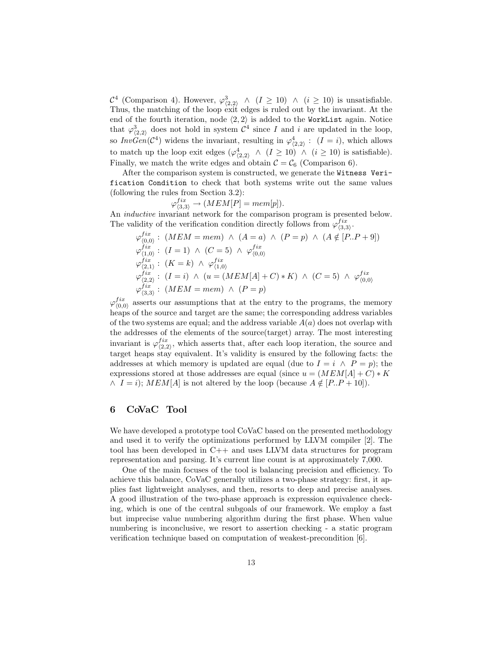$\mathcal{C}^4$  (Comparison 4). However,  $\varphi_{(2,2)}^3 \wedge (I \geq 10) \wedge (i \geq 10)$  is unsatisfiable. Thus, the matching of the loop exit edges is ruled out by the invariant. At the end of the fourth iteration, node  $\langle 2, 2 \rangle$  is added to the WorkList again. Notice that  $\varphi^3_{(2,2)}$  does not hold in system  $\mathcal{C}^4$  since I and i are updated in the loop, so  $InvGen(\mathcal{C}^4)$  widens the invariant, resulting in  $\varphi^4_{(2,2)}$ :  $(I = i)$ , which allows to match up the loop exit edges  $(\varphi_{(2,2)}^4 \wedge (I \geq 10) \wedge (i \geq 10)$  is satisfiable). Finally, we match the write edges and obtain  $C = C_6$  (Comparison 6).

After the comparison system is constructed, we generate the Witness Verification Condition to check that both systems write out the same values (following the rules from Section 3.2):

$$
\varphi_{\langle 3,3\rangle}^{fix} \to (MEM[P] = mem[p]).
$$

An inductive invariant network for the comparison program is presented below. The validity of the verification condition directly follows from  $\varphi_{13}^{fix}$  $_{\langle 3,3\rangle }^{fix}.$ 

$$
\varphi_{(0,0)}^{fix}: (MEM = mem) \wedge (A = a) \wedge (P = p) \wedge (A \notin [P.P + 9])
$$
  
\n
$$
\varphi_{(1,0)}^{fix}: (I = 1) \wedge (C = 5) \wedge \varphi_{(0,0)}^{fix}
$$
  
\n
$$
\varphi_{(2,1)}^{fix}: (K = k) \wedge \varphi_{(1,0)}^{fix}
$$
  
\n
$$
\varphi_{(2,2)}^{fix}: (I = i) \wedge (u = (MEM[A] + C) * K) \wedge (C = 5) \wedge \varphi_{(0,0)}^{fix}
$$
  
\n
$$
\varphi_{(3,3)}^{fix}: (MEM = mem) \wedge (P = p)
$$

 $\varphi_{\ell_0}^{fix}$  $h^{j.x}_{(0,0)}$  asserts our assumptions that at the entry to the programs, the memory heaps of the source and target are the same; the corresponding address variables of the two systems are equal; and the address variable  $A(a)$  does not overlap with the addresses of the elements of the source(target) array. The most interesting invariant is  $\varphi_{i_2}^{fix}$  $\chi_{(2,2)}^{fix}$ , which asserts that, after each loop iteration, the source and target heaps stay equivalent. It's validity is ensured by the following facts: the addresses at which memory is updated are equal (due to  $I = i \land P = p$ ); the expressions stored at those addresses are equal (since  $u = (MEM[A] + C) * K$  $\wedge$   $I = i$ );  $MEM[A]$  is not altered by the loop (because  $A \notin [P.P + 10]$ ).

# 6 CoVaC Tool

We have developed a prototype tool CoVaC based on the presented methodology and used it to verify the optimizations performed by LLVM compiler [2]. The tool has been developed in  $C_{++}$  and uses LLVM data structures for program representation and parsing. It's current line count is at approximately 7,000.

One of the main focuses of the tool is balancing precision and efficiency. To achieve this balance, CoVaC generally utilizes a two-phase strategy: first, it applies fast lightweight analyses, and then, resorts to deep and precise analyses. A good illustration of the two-phase approach is expression equivalence checking, which is one of the central subgoals of our framework. We employ a fast but imprecise value numbering algorithm during the first phase. When value numbering is inconclusive, we resort to assertion checking - a static program verification technique based on computation of weakest-precondition [6].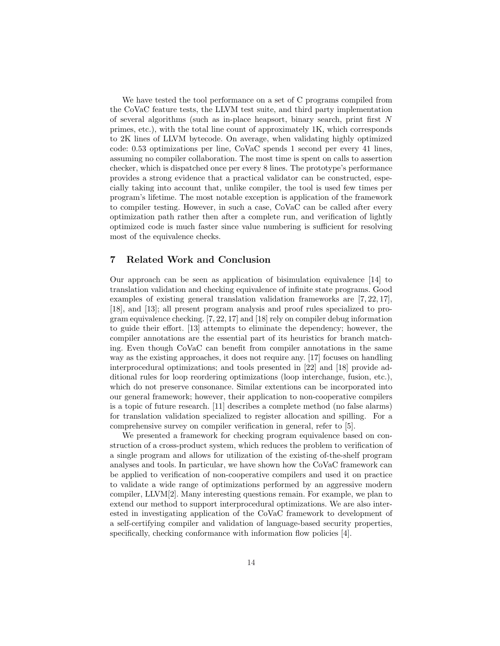We have tested the tool performance on a set of C programs compiled from the CoVaC feature tests, the LLVM test suite, and third party implementation of several algorithms (such as in-place heapsort, binary search, print first N primes, etc.), with the total line count of approximately 1K, which corresponds to 2K lines of LLVM bytecode. On average, when validating highly optimized code: 0.53 optimizations per line, CoVaC spends 1 second per every 41 lines, assuming no compiler collaboration. The most time is spent on calls to assertion checker, which is dispatched once per every 8 lines. The prototype's performance provides a strong evidence that a practical validator can be constructed, especially taking into account that, unlike compiler, the tool is used few times per program's lifetime. The most notable exception is application of the framework to compiler testing. However, in such a case, CoVaC can be called after every optimization path rather then after a complete run, and verification of lightly optimized code is much faster since value numbering is sufficient for resolving most of the equivalence checks.

# 7 Related Work and Conclusion

Our approach can be seen as application of bisimulation equivalence [14] to translation validation and checking equivalence of infinite state programs. Good examples of existing general translation validation frameworks are [7, 22, 17], [18], and [13]; all present program analysis and proof rules specialized to program equivalence checking. [7, 22, 17] and [18] rely on compiler debug information to guide their effort. [13] attempts to eliminate the dependency; however, the compiler annotations are the essential part of its heuristics for branch matching. Even though CoVaC can benefit from compiler annotations in the same way as the existing approaches, it does not require any. [17] focuses on handling interprocedural optimizations; and tools presented in [22] and [18] provide additional rules for loop reordering optimizations (loop interchange, fusion, etc.), which do not preserve consonance. Similar extentions can be incorporated into our general framework; however, their application to non-cooperative compilers is a topic of future research. [11] describes a complete method (no false alarms) for translation validation specialized to register allocation and spilling. For a comprehensive survey on compiler verification in general, refer to [5].

We presented a framework for checking program equivalence based on construction of a cross-product system, which reduces the problem to verification of a single program and allows for utilization of the existing of-the-shelf program analyses and tools. In particular, we have shown how the CoVaC framework can be applied to verification of non-cooperative compilers and used it on practice to validate a wide range of optimizations performed by an aggressive modern compiler, LLVM[2]. Many interesting questions remain. For example, we plan to extend our method to support interprocedural optimizations. We are also interested in investigating application of the CoVaC framework to development of a self-certifying compiler and validation of language-based security properties, specifically, checking conformance with information flow policies [4].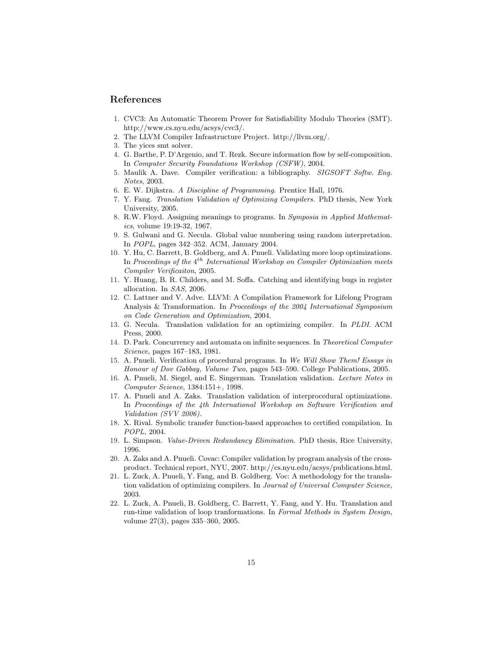# References

- 1. CVC3: An Automatic Theorem Prover for Satisfiability Modulo Theories (SMT). http://www.cs.nyu.edu/acsys/cvc3/.
- 2. The LLVM Compiler Infrastructure Project. http://llvm.org/.
- 3. The yices smt solver.
- 4. G. Barthe, P. D'Argenio, and T. Rezk. Secure information flow by self-composition. In Computer Security Foundations Workshop (CSFW), 2004.
- 5. Maulik A. Dave. Compiler verification: a bibliography. SIGSOFT Softw. Eng. Notes, 2003.
- 6. E. W. Dijkstra. A Discipline of Programming. Prentice Hall, 1976.
- 7. Y. Fang. Translation Validation of Optimizing Compilers. PhD thesis, New York University, 2005.
- 8. R.W. Floyd. Assigning meanings to programs. In Symposia in Applied Mathematics, volume 19:19-32, 1967.
- 9. S. Gulwani and G. Necula. Global value numbering using random interpretation. In POPL, pages 342–352. ACM, January 2004.
- 10. Y. Hu, C. Barrett, B. Goldberg, and A. Pnueli. Validating more loop optimizations. In Proceedings of the  $4^{th}$  International Workshop on Compiler Optimization meets Compiler Verificaiton, 2005.
- 11. Y. Huang, B. R. Childers, and M. Soffa. Catching and identifying bugs in register allocation. In SAS, 2006.
- 12. C. Lattner and V. Adve. LLVM: A Compilation Framework for Lifelong Program Analysis & Transformation. In Proceedings of the 2004 International Symposium on Code Generation and Optimization, 2004.
- 13. G. Necula. Translation validation for an optimizing compiler. In PLDI. ACM Press, 2000.
- 14. D. Park. Concurrency and automata on infinite sequences. In Theoretical Computer Science, pages 167–183, 1981.
- 15. A. Pnueli. Verification of procedural programs. In We Will Show Them! Essays in Honour of Dov Gabbay, Volume Two, pages 543–590. College Publications, 2005.
- 16. A. Pnueli, M. Siegel, and E. Singerman. Translation validation. Lecture Notes in Computer Science, 1384:151+, 1998.
- 17. A. Pnueli and A. Zaks. Translation validation of interprocedural optimizations. In Proceedings of the 4th International Workshop on Software Verification and Validation (SVV 2006).
- 18. X. Rival. Symbolic transfer function-based approaches to certified compilation. In POPL, 2004.
- 19. L. Simpson. Value-Driven Redundancy Elimination. PhD thesis, Rice University, 1996.
- 20. A. Zaks and A. Pnueli. Covac: Compiler validation by program analysis of the crossproduct. Technical report, NYU, 2007. http://cs.nyu.edu/acsys/publications.html.
- 21. L. Zuck, A. Pnueli, Y. Fang, and B. Goldberg. Voc: A methodology for the translation validation of optimizing compilers. In Journal of Universal Computer Science, 2003.
- 22. L. Zuck, A. Pnueli, B. Goldberg, C. Barrett, Y. Fang, and Y. Hu. Translation and run-time validation of loop tranformations. In Formal Methods in System Design, volume 27(3), pages 335–360, 2005.